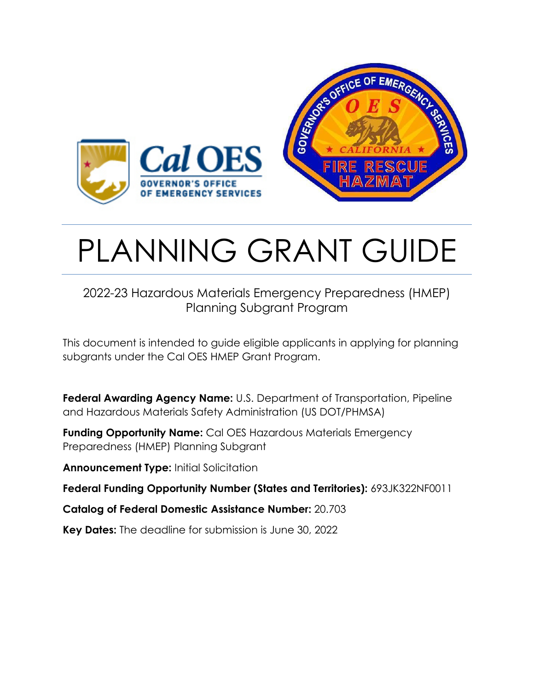

# PLANNING GRANT GUIDE

# 2022-23 Hazardous Materials Emergency Preparedness (HMEP) Planning Subgrant Program

This document is intended to guide eligible applicants in applying for planning subgrants under the Cal OES HMEP Grant Program.

**Federal Awarding Agency Name:** U.S. Department of Transportation, Pipeline and Hazardous Materials Safety Administration (US DOT/PHMSA)

**Funding Opportunity Name:** Cal OES Hazardous Materials Emergency Preparedness (HMEP) Planning Subgrant

**Announcement Type:** Initial Solicitation

**Federal Funding Opportunity Number (States and Territories):** 693JK322NF0011

**Catalog of Federal Domestic Assistance Number:** 20.703

**Key Dates:** The deadline for submission is June 30, 2022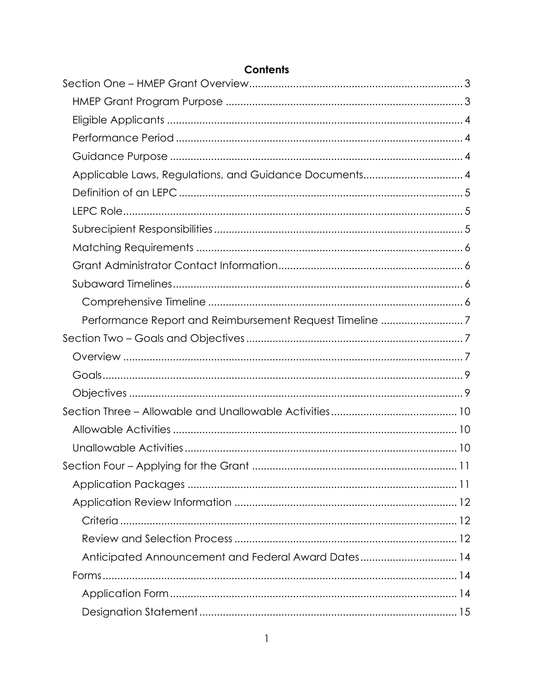| Applicable Laws, Regulations, and Guidance Documents 4  |  |
|---------------------------------------------------------|--|
|                                                         |  |
|                                                         |  |
|                                                         |  |
|                                                         |  |
|                                                         |  |
|                                                         |  |
|                                                         |  |
| Performance Report and Reimbursement Request Timeline 7 |  |
|                                                         |  |
|                                                         |  |
|                                                         |  |
|                                                         |  |
|                                                         |  |
|                                                         |  |
|                                                         |  |
|                                                         |  |
|                                                         |  |
|                                                         |  |
|                                                         |  |
|                                                         |  |
|                                                         |  |
| Anticipated Announcement and Federal Award Dates14      |  |
|                                                         |  |
|                                                         |  |

#### **Contents**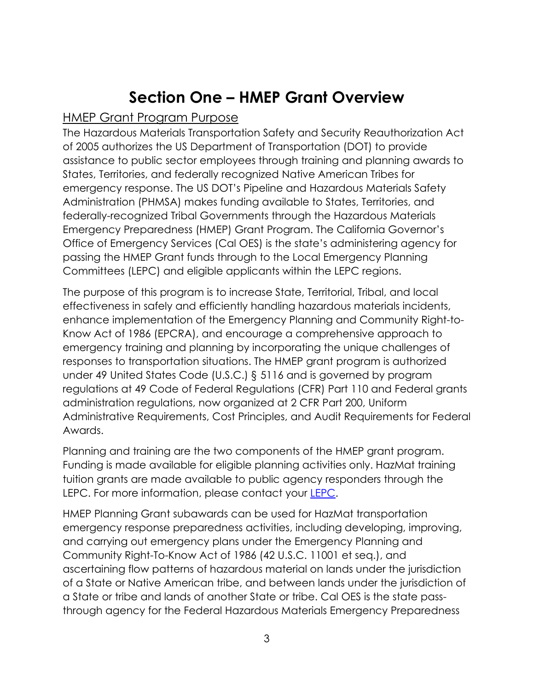# **Section One – HMEP Grant Overview**

#### <span id="page-3-1"></span><span id="page-3-0"></span>HMEP Grant Program Purpose

The Hazardous Materials Transportation Safety and Security Reauthorization Act of 2005 authorizes the US Department of Transportation (DOT) to provide assistance to public sector employees through training and planning awards to States, Territories, and federally recognized Native American Tribes for emergency response. The US DOT's Pipeline and Hazardous Materials Safety Administration (PHMSA) makes funding available to States, Territories, and federally-recognized Tribal Governments through the Hazardous Materials Emergency Preparedness (HMEP) Grant Program. The California Governor's Office of Emergency Services (Cal OES) is the state's administering agency for passing the HMEP Grant funds through to the Local Emergency Planning Committees (LEPC) and eligible applicants within the LEPC regions.

The purpose of this program is to increase State, Territorial, Tribal, and local effectiveness in safely and efficiently handling hazardous materials incidents, enhance implementation of the Emergency Planning and Community Right-to-Know Act of 1986 (EPCRA), and encourage a comprehensive approach to emergency training and planning by incorporating the unique challenges of responses to transportation situations. The HMEP grant program is authorized under 49 United States Code (U.S.C.) § 5116 and is governed by program regulations at 49 Code of Federal Regulations (CFR) Part 110 and Federal grants administration regulations, now organized at 2 CFR Part 200, Uniform Administrative Requirements, Cost Principles, and Audit Requirements for Federal Awards.

Planning and training are the two components of the HMEP grant program. Funding is made available for eligible planning activities only. HazMat training tuition grants are made available to public agency responders through the LEPC. For more information, please contact your [LEPC.](http://www.caloes.ca.gov/FireRescueSite/Pages/Local-Emergency-Planning-Committee.aspx)

HMEP Planning Grant subawards can be used for HazMat transportation emergency response preparedness activities, including developing, improving, and carrying out emergency plans under the Emergency Planning and Community Right-To-Know Act of 1986 (42 U.S.C. 11001 et seq.), and ascertaining flow patterns of hazardous material on lands under the jurisdiction of a State or Native American tribe, and between lands under the jurisdiction of a State or tribe and lands of another State or tribe. Cal OES is the state passthrough agency for the Federal Hazardous Materials Emergency Preparedness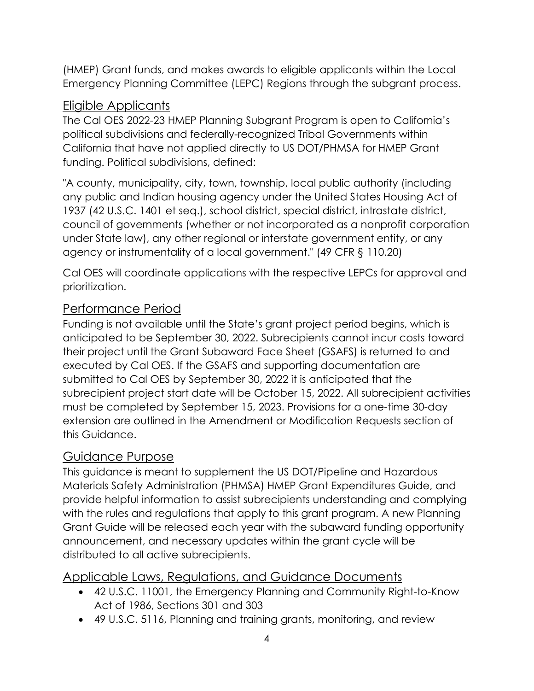(HMEP) Grant funds, and makes awards to eligible applicants within the Local Emergency Planning Committee (LEPC) Regions through the subgrant process.

## <span id="page-4-0"></span>Eligible Applicants

The Cal OES 2022-23 HMEP Planning Subgrant Program is open to California's political subdivisions and federally-recognized Tribal Governments within California that have not applied directly to US DOT/PHMSA for HMEP Grant funding. Political subdivisions, defined:

"A county, municipality, city, town, township, local public authority (including any public and Indian housing agency under the United States Housing Act of 1937 (42 U.S.C. 1401 et seq.), school district, special district, intrastate district, council of governments (whether or not incorporated as a nonprofit corporation under State law), any other regional or interstate government entity, or any agency or instrumentality of a local government." (49 CFR § 110.20)

Cal OES will coordinate applications with the respective LEPCs for approval and prioritization.

# <span id="page-4-1"></span>Performance Period

Funding is not available until the State's grant project period begins, which is anticipated to be September 30, 2022. Subrecipients cannot incur costs toward their project until the Grant Subaward Face Sheet (GSAFS) is returned to and executed by Cal OES. If the GSAFS and supporting documentation are submitted to Cal OES by September 30, 2022 it is anticipated that the subrecipient project start date will be October 15, 2022. All subrecipient activities must be completed by September 15, 2023. Provisions for a one-time 30-day extension are outlined in the Amendment or Modification Requests section of this Guidance.

# <span id="page-4-2"></span>Guidance Purpose

This guidance is meant to supplement the US DOT/Pipeline and Hazardous Materials Safety Administration (PHMSA) HMEP Grant Expenditures Guide, and provide helpful information to assist subrecipients understanding and complying with the rules and regulations that apply to this grant program. A new Planning Grant Guide will be released each year with the subaward funding opportunity announcement, and necessary updates within the grant cycle will be distributed to all active subrecipients.

#### <span id="page-4-3"></span>Applicable Laws, Regulations, and Guidance Documents

- 42 U.S.C. 11001, the Emergency Planning and Community Right-to-Know Act of 1986, Sections 301 and 303
- 49 U.S.C. 5116, Planning and training grants, monitoring, and review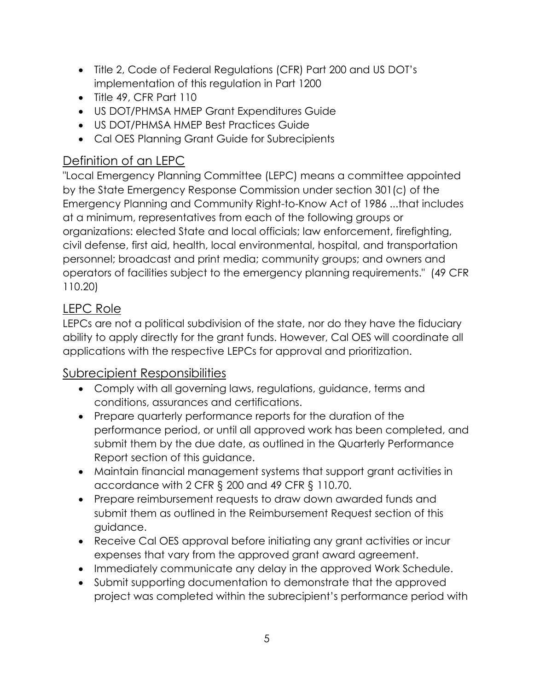- Title 2, Code of Federal Regulations (CFR) Part 200 and US DOT's implementation of this regulation in Part 1200
- Title 49, CFR Part 110
- US DOT/PHMSA HMEP Grant Expenditures Guide
- US DOT/PHMSA HMEP Best Practices Guide
- Cal OES Planning Grant Guide for Subrecipients

# <span id="page-5-0"></span>Definition of an LEPC

"Local Emergency Planning Committee (LEPC) means a committee appointed by the State Emergency Response Commission under section 301(c) of the Emergency Planning and Community Right-to-Know Act of 1986 ...that includes at a minimum, representatives from each of the following groups or organizations: elected State and local officials; law enforcement, firefighting, civil defense, first aid, health, local environmental, hospital, and transportation personnel; broadcast and print media; community groups; and owners and operators of facilities subject to the emergency planning requirements." (49 CFR 110.20)

# <span id="page-5-1"></span>LEPC Role

LEPCs are not a political subdivision of the state, nor do they have the fiduciary ability to apply directly for the grant funds. However, Cal OES will coordinate all applications with the respective LEPCs for approval and prioritization.

# <span id="page-5-2"></span>Subrecipient Responsibilities

- Comply with all governing laws, regulations, guidance, terms and conditions, assurances and certifications.
- Prepare quarterly performance reports for the duration of the performance period, or until all approved work has been completed, and submit them by the due date, as outlined in the Quarterly Performance Report section of this guidance.
- Maintain financial management systems that support grant activities in accordance with 2 CFR § 200 and 49 CFR § 110.70.
- Prepare reimbursement requests to draw down awarded funds and submit them as outlined in the Reimbursement Request section of this guidance.
- Receive Cal OES approval before initiating any grant activities or incur expenses that vary from the approved grant award agreement.
- Immediately communicate any delay in the approved Work Schedule.
- Submit supporting documentation to demonstrate that the approved project was completed within the subrecipient's performance period with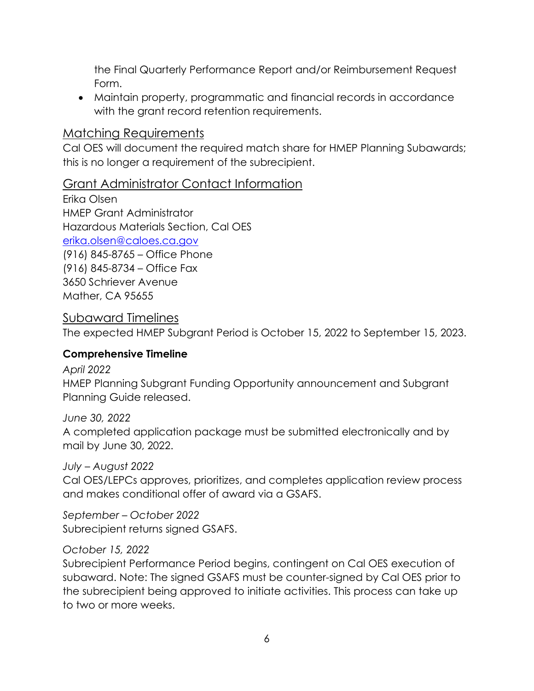the Final Quarterly Performance Report and/or Reimbursement Request Form.

• Maintain property, programmatic and financial records in accordance with the grant record retention requirements.

## <span id="page-6-0"></span>Matching Requirements

Cal OES will document the required match share for HMEP Planning Subawards; this is no longer a requirement of the subrecipient.

## <span id="page-6-1"></span>Grant Administrator Contact Information

Erika Olsen HMEP Grant Administrator Hazardous Materials Section, Cal OES [erika.olsen@caloes.ca.gov](mailto:erika.olsen@caloes.ca.gov)  (916) 845-8765 – Office Phone (916) 845-8734 – Office Fax 3650 Schriever Avenue Mather, CA 95655

#### <span id="page-6-2"></span>Subaward Timelines

The expected HMEP Subgrant Period is October 15, 2022 to September 15, 2023.

#### <span id="page-6-3"></span>**Comprehensive Timeline**

*April 2022* 

HMEP Planning Subgrant Funding Opportunity announcement and Subgrant Planning Guide released.

*June 30, 2022*  A completed application package must be submitted electronically and by mail by June 30, 2022.

*July – August 2022*  Cal OES/LEPCs approves, prioritizes, and completes application review process and makes conditional offer of award via a GSAFS.

*September – October 2022*  Subrecipient returns signed GSAFS.

#### *October 15, 2022*

Subrecipient Performance Period begins, contingent on Cal OES execution of subaward. Note: The signed GSAFS must be counter-signed by Cal OES prior to the subrecipient being approved to initiate activities. This process can take up to two or more weeks.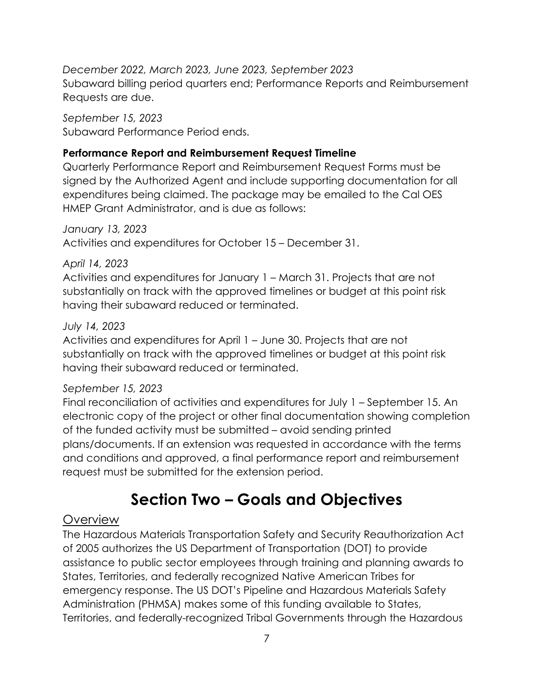*December 2022, March 2023, June 2023, September 2023*  Subaward billing period quarters end; Performance Reports and Reimbursement Requests are due.

*September 15, 2023*  Subaward Performance Period ends.

#### <span id="page-7-0"></span>**Performance Report and Reimbursement Request Timeline**

Quarterly Performance Report and Reimbursement Request Forms must be signed by the Authorized Agent and include supporting documentation for all expenditures being claimed. The package may be emailed to the Cal OES HMEP Grant Administrator, and is due as follows:

*January 13, 2023*  Activities and expenditures for October 15 – December 31.

#### *April 14, 2023*

Activities and expenditures for January 1 – March 31. Projects that are not substantially on track with the approved timelines or budget at this point risk having their subaward reduced or terminated.

#### *July 14, 2023*

Activities and expenditures for April 1 – June 30. Projects that are not substantially on track with the approved timelines or budget at this point risk having their subaward reduced or terminated.

#### *September 15, 2023*

Final reconciliation of activities and expenditures for July 1 – September 15. An electronic copy of the project or other final documentation showing completion of the funded activity must be submitted – avoid sending printed plans/documents. If an extension was requested in accordance with the terms and conditions and approved, a final performance report and reimbursement request must be submitted for the extension period.

# **Section Two – Goals and Objectives**

#### <span id="page-7-2"></span><span id="page-7-1"></span>**Overview**

The Hazardous Materials Transportation Safety and Security Reauthorization Act of 2005 authorizes the US Department of Transportation (DOT) to provide assistance to public sector employees through training and planning awards to States, Territories, and federally recognized Native American Tribes for emergency response. The US DOT's Pipeline and Hazardous Materials Safety Administration (PHMSA) makes some of this funding available to States, Territories, and federally-recognized Tribal Governments through the Hazardous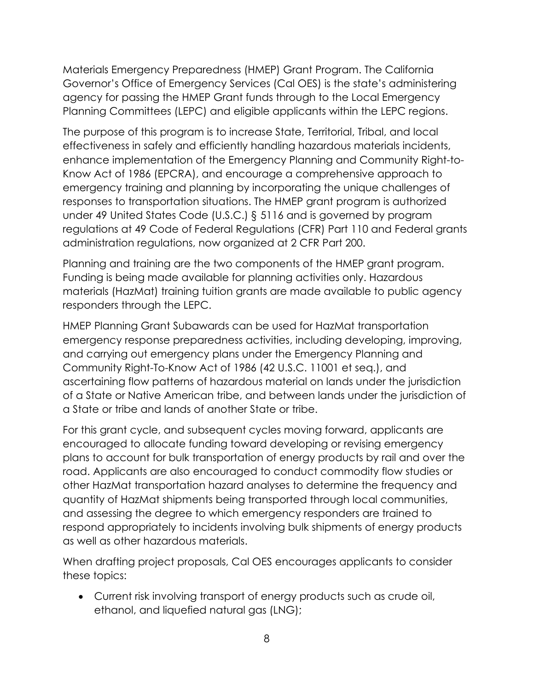Materials Emergency Preparedness (HMEP) Grant Program. The California Governor's Office of Emergency Services (Cal OES) is the state's administering agency for passing the HMEP Grant funds through to the Local Emergency Planning Committees (LEPC) and eligible applicants within the LEPC regions.

The purpose of this program is to increase State, Territorial, Tribal, and local effectiveness in safely and efficiently handling hazardous materials incidents, enhance implementation of the Emergency Planning and Community Right-to-Know Act of 1986 (EPCRA), and encourage a comprehensive approach to emergency training and planning by incorporating the unique challenges of responses to transportation situations. The HMEP grant program is authorized under 49 United States Code (U.S.C.) § 5116 and is governed by program regulations at 49 Code of Federal Regulations (CFR) Part 110 and Federal grants administration regulations, now organized at 2 CFR Part 200.

Planning and training are the two components of the HMEP grant program. Funding is being made available for planning activities only. Hazardous materials (HazMat) training tuition grants are made available to public agency responders through the LEPC.

HMEP Planning Grant Subawards can be used for HazMat transportation emergency response preparedness activities, including developing, improving, and carrying out emergency plans under the Emergency Planning and Community Right-To-Know Act of 1986 (42 U.S.C. 11001 et seq.), and ascertaining flow patterns of hazardous material on lands under the jurisdiction of a State or Native American tribe, and between lands under the jurisdiction of a State or tribe and lands of another State or tribe.

For this grant cycle, and subsequent cycles moving forward, applicants are encouraged to allocate funding toward developing or revising emergency plans to account for bulk transportation of energy products by rail and over the road. Applicants are also encouraged to conduct commodity flow studies or other HazMat transportation hazard analyses to determine the frequency and quantity of HazMat shipments being transported through local communities, and assessing the degree to which emergency responders are trained to respond appropriately to incidents involving bulk shipments of energy products as well as other hazardous materials.

When drafting project proposals, Cal OES encourages applicants to consider these topics:

• Current risk involving transport of energy products such as crude oil, ethanol, and liquefied natural gas (LNG);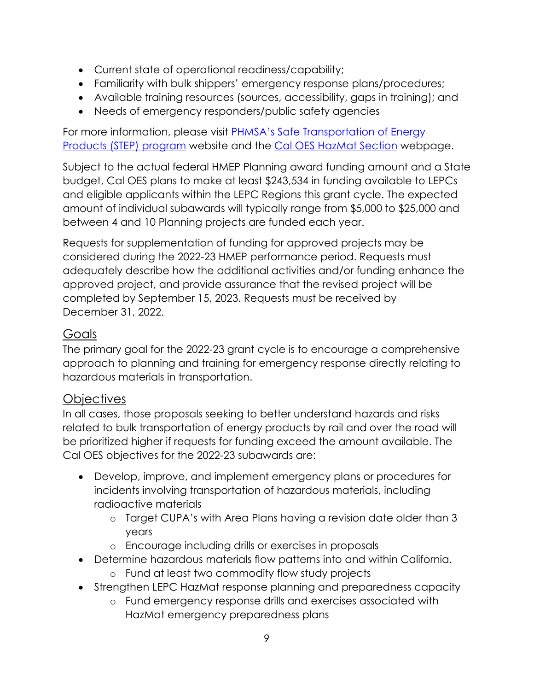- Current state of operational readiness/capability;
- Familiarity with bulk shippers' emergency response plans/procedures;
- Available training resources (sources, accessibility, gaps in training); and
- Needs of emergency responders/public safety agencies

For more information, please visit [PHMSA's Safe Transportation of Energy](http://www.phmsa.dot.gov/hazmat/osd/calltoaction)  [Products \(STEP\) program](http://www.phmsa.dot.gov/hazmat/osd/calltoaction) website and the [Cal OES HazMat Section](http://www.caloes.ca.gov/FireRescueSite/Pages/Hazardous-Materials.aspx) webpage.

Subject to the actual federal HMEP Planning award funding amount and a State budget, Cal OES plans to make at least \$243,534 in funding available to LEPCs and eligible applicants within the LEPC Regions this grant cycle. The expected amount of individual subawards will typically range from \$5,000 to \$25,000 and between 4 and 10 Planning projects are funded each year.

Requests for supplementation of funding for approved projects may be considered during the 2022-23 HMEP performance period. Requests must adequately describe how the additional activities and/or funding enhance the approved project, and provide assurance that the revised project will be completed by September 15, 2023. Requests must be received by December 31, 2022.

# <span id="page-9-0"></span>Goals

The primary goal for the 2022-23 grant cycle is to encourage a comprehensive approach to planning and training for emergency response directly relating to hazardous materials in transportation.

# <span id="page-9-1"></span>**Objectives**

In all cases, those proposals seeking to better understand hazards and risks related to bulk transportation of energy products by rail and over the road will be prioritized higher if requests for funding exceed the amount available. The Cal OES objectives for the 2022-23 subawards are:

- Develop, improve, and implement emergency plans or procedures for incidents involving transportation of hazardous materials, including radioactive materials
	- o Target CUPA's with Area Plans having a revision date older than 3 years
	- o Encourage including drills or exercises in proposals
- Determine hazardous materials flow patterns into and within California. o Fund at least two commodity flow study projects
- Strengthen LEPC HazMat response planning and preparedness capacity
	- o Fund emergency response drills and exercises associated with HazMat emergency preparedness plans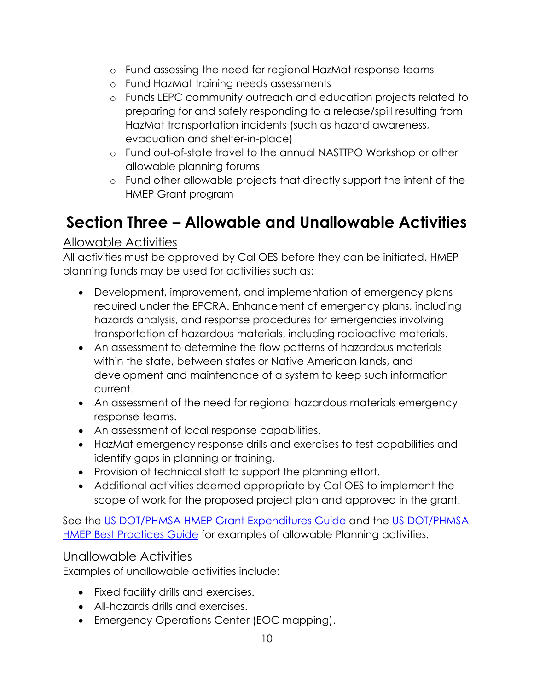- o Fund assessing the need for regional HazMat response teams
- o Fund HazMat training needs assessments
- o Funds LEPC community outreach and education projects related to preparing for and safely responding to a release/spill resulting from HazMat transportation incidents (such as hazard awareness, evacuation and shelter-in-place)
- o Fund out-of-state travel to the annual NASTTPO Workshop or other allowable planning forums
- o Fund other allowable projects that directly support the intent of the HMEP Grant program

# <span id="page-10-0"></span>**Section Three – Allowable and Unallowable Activities**

# <span id="page-10-1"></span>Allowable Activities

All activities must be approved by Cal OES before they can be initiated. HMEP planning funds may be used for activities such as:

- Development, improvement, and implementation of emergency plans required under the EPCRA. Enhancement of emergency plans, including hazards analysis, and response procedures for emergencies involving transportation of hazardous materials, including radioactive materials.
- An assessment to determine the flow patterns of hazardous materials within the state, between states or Native American lands, and development and maintenance of a system to keep such information current.
- An assessment of the need for regional hazardous materials emergency response teams.
- An assessment of local response capabilities.
- HazMat emergency response drills and exercises to test capabilities and identify gaps in planning or training.
- Provision of technical staff to support the planning effort.
- Additional activities deemed appropriate by Cal OES to implement the scope of work for the proposed project plan and approved in the grant.

See the [US DOT/PHMSA HMEP Grant Expenditures Guide](https://www.phmsa.dot.gov/grants/hazmat/hmep-expenditures-guide-pdf) and the US [DOT/PHMSA](https://www.phmsa.dot.gov/grants/hazmat/hmep-best-practices-guide-pdf)  [HMEP Best Practices Guide](https://www.phmsa.dot.gov/grants/hazmat/hmep-best-practices-guide-pdf) for examples of allowable Planning activities.

# <span id="page-10-2"></span>Unallowable Activities

Examples of unallowable activities include:

- Fixed facility drills and exercises.
- All-hazards drills and exercises.
- Emergency Operations Center (EOC mapping).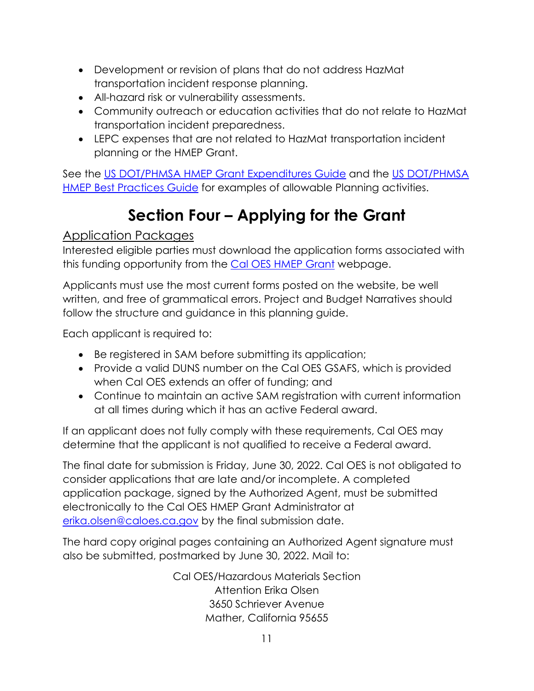- Development or revision of plans that do not address HazMat transportation incident response planning.
- All-hazard risk or vulnerability assessments.
- Community outreach or education activities that do not relate to HazMat transportation incident preparedness.
- LEPC expenses that are not related to HazMat transportation incident planning or the HMEP Grant.

See the [US DOT/PHMSA HMEP Grant Expenditures Guide](https://www.phmsa.dot.gov/grants/hazmat/hmep-expenditures-guide-pdf) and the [US DOT/PHMSA](https://www.phmsa.dot.gov/grants/hazmat/hmep-best-practices-guide-pdf)  [HMEP Best Practices Guide](https://www.phmsa.dot.gov/grants/hazmat/hmep-best-practices-guide-pdf) for examples of allowable Planning activities.

# **Section Four – Applying for the Grant**

# <span id="page-11-1"></span><span id="page-11-0"></span>Application Packages

Interested eligible parties must download the application forms associated with this funding opportunity from the [Cal OES HMEP Grant](http://www.caloes.ca.gov/FireRescueSite/Pages/HazMat-Emergency-Preparedness-Grant.aspx) webpage.

Applicants must use the most current forms posted on the website, be well written, and free of grammatical errors. Project and Budget Narratives should follow the structure and guidance in this planning guide.

Each applicant is required to:

- Be registered in SAM before submitting its application;
- Provide a valid DUNS number on the Cal OES GSAFS, which is provided when Cal OES extends an offer of funding; and
- Continue to maintain an active SAM registration with current information at all times during which it has an active Federal award.

If an applicant does not fully comply with these requirements, Cal OES may determine that the applicant is not qualified to receive a Federal award.

The final date for submission is Friday, June 30, 2022. Cal OES is not obligated to consider applications that are late and/or incomplete. A completed application package, signed by the Authorized Agent, must be submitted electronically to the Cal OES HMEP Grant Administrator at [erika.olsen@caloes.ca.gov](mailto:erika.olsen@caloes.ca.gov) by the final submission date.

The hard copy original pages containing an Authorized Agent signature must also be submitted, postmarked by June 30, 2022. Mail to:

> Cal OES/Hazardous Materials Section Attention Erika Olsen 3650 Schriever Avenue Mather, California 95655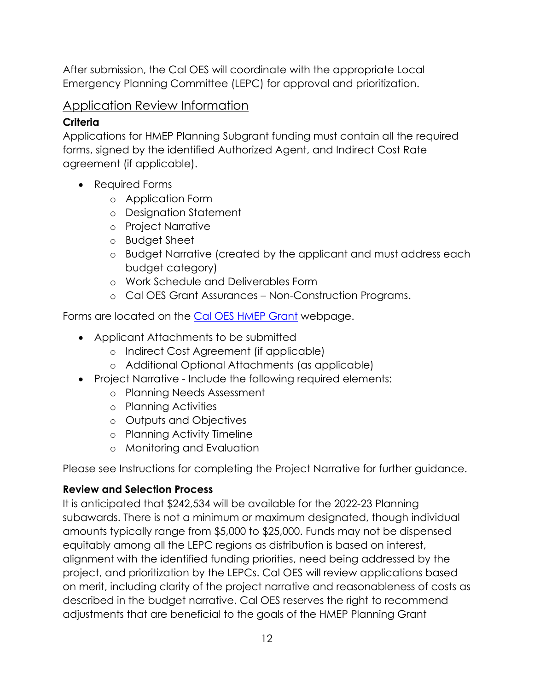After submission, the Cal OES will coordinate with the appropriate Local Emergency Planning Committee (LEPC) for approval and prioritization.

## <span id="page-12-0"></span>Application Review Information

#### <span id="page-12-1"></span>**Criteria**

Applications for HMEP Planning Subgrant funding must contain all the required forms, signed by the identified Authorized Agent, and Indirect Cost Rate agreement (if applicable).

- Required Forms
	- o Application Form
	- o Designation Statement
	- o Project Narrative
	- o Budget Sheet
	- o Budget Narrative (created by the applicant and must address each budget category)
	- o Work Schedule and Deliverables Form
	- o Cal OES Grant Assurances Non-Construction Programs.

Forms are located on the [Cal OES HMEP Grant](http://www.caloes.ca.gov/FireRescueSite/Pages/HazMat-Emergency-Preparedness-Grant.aspx) webpage.

- Applicant Attachments to be submitted
	- o Indirect Cost Agreement (if applicable)
	- o Additional Optional Attachments (as applicable)
- Project Narrative Include the following required elements:
	- o Planning Needs Assessment
	- o Planning Activities
	- o Outputs and Objectives
	- o Planning Activity Timeline
	- o Monitoring and Evaluation

Please see Instructions for completing the Project Narrative for further guidance.

# <span id="page-12-2"></span>**Review and Selection Process**

It is anticipated that \$242,534 will be available for the 2022-23 Planning subawards. There is not a minimum or maximum designated, though individual amounts typically range from \$5,000 to \$25,000. Funds may not be dispensed equitably among all the LEPC regions as distribution is based on interest, alignment with the identified funding priorities, need being addressed by the project, and prioritization by the LEPCs. Cal OES will review applications based on merit, including clarity of the project narrative and reasonableness of costs as described in the budget narrative. Cal OES reserves the right to recommend adjustments that are beneficial to the goals of the HMEP Planning Grant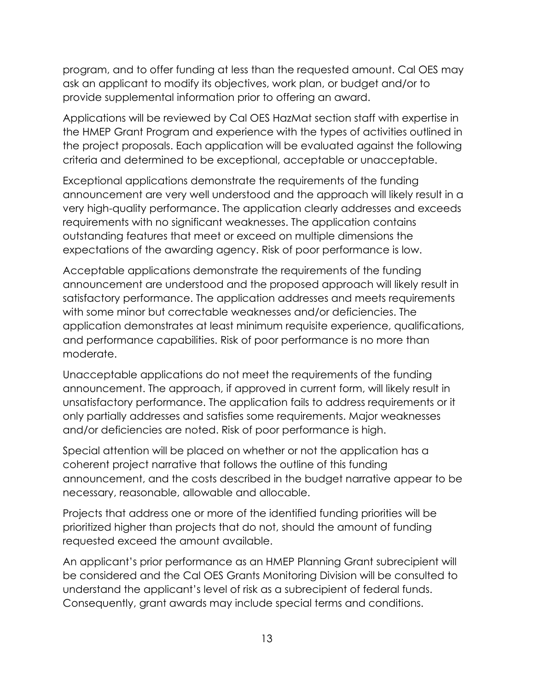program, and to offer funding at less than the requested amount. Cal OES may ask an applicant to modify its objectives, work plan, or budget and/or to provide supplemental information prior to offering an award.

Applications will be reviewed by Cal OES HazMat section staff with expertise in the HMEP Grant Program and experience with the types of activities outlined in the project proposals. Each application will be evaluated against the following criteria and determined to be exceptional, acceptable or unacceptable.

Exceptional applications demonstrate the requirements of the funding announcement are very well understood and the approach will likely result in a very high-quality performance. The application clearly addresses and exceeds requirements with no significant weaknesses. The application contains outstanding features that meet or exceed on multiple dimensions the expectations of the awarding agency. Risk of poor performance is low.

Acceptable applications demonstrate the requirements of the funding announcement are understood and the proposed approach will likely result in satisfactory performance. The application addresses and meets requirements with some minor but correctable weaknesses and/or deficiencies. The application demonstrates at least minimum requisite experience, qualifications, and performance capabilities. Risk of poor performance is no more than moderate.

Unacceptable applications do not meet the requirements of the funding announcement. The approach, if approved in current form, will likely result in unsatisfactory performance. The application fails to address requirements or it only partially addresses and satisfies some requirements. Major weaknesses and/or deficiencies are noted. Risk of poor performance is high.

Special attention will be placed on whether or not the application has a coherent project narrative that follows the outline of this funding announcement, and the costs described in the budget narrative appear to be necessary, reasonable, allowable and allocable.

Projects that address one or more of the identified funding priorities will be prioritized higher than projects that do not, should the amount of funding requested exceed the amount available.

An applicant's prior performance as an HMEP Planning Grant subrecipient will be considered and the Cal OES Grants Monitoring Division will be consulted to understand the applicant's level of risk as a subrecipient of federal funds. Consequently, grant awards may include special terms and conditions.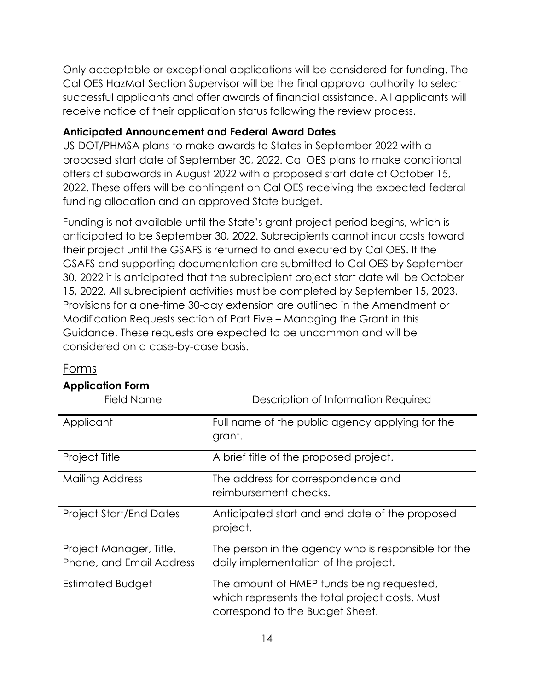Only acceptable or exceptional applications will be considered for funding. The Cal OES HazMat Section Supervisor will be the final approval authority to select successful applicants and offer awards of financial assistance. All applicants will receive notice of their application status following the review process.

#### <span id="page-14-0"></span>**Anticipated Announcement and Federal Award Dates**

US DOT/PHMSA plans to make awards to States in September 2022 with a proposed start date of September 30, 2022. Cal OES plans to make conditional offers of subawards in August 2022 with a proposed start date of October 15, 2022. These offers will be contingent on Cal OES receiving the expected federal funding allocation and an approved State budget.

Funding is not available until the State's grant project period begins, which is anticipated to be September 30, 2022. Subrecipients cannot incur costs toward their project until the GSAFS is returned to and executed by Cal OES. If the GSAFS and supporting documentation are submitted to Cal OES by September 30, 2022 it is anticipated that the subrecipient project start date will be October 15, 2022. All subrecipient activities must be completed by September 15, 2023. Provisions for a one-time 30-day extension are outlined in the Amendment or Modification Requests section of Part Five – Managing the Grant in this Guidance. These requests are expected to be uncommon and will be considered on a case-by-case basis.

#### <span id="page-14-1"></span>Forms

# <span id="page-14-2"></span>**Application Form**

Field Name Description of Information Required

| Applicant                                           | Full name of the public agency applying for the<br>grant.                                                                      |
|-----------------------------------------------------|--------------------------------------------------------------------------------------------------------------------------------|
| Project Title                                       | A brief title of the proposed project.                                                                                         |
| <b>Mailing Address</b>                              | The address for correspondence and<br>reimbursement checks.                                                                    |
| <b>Project Start/End Dates</b>                      | Anticipated start and end date of the proposed<br>project.                                                                     |
| Project Manager, Title,<br>Phone, and Email Address | The person in the agency who is responsible for the<br>daily implementation of the project.                                    |
| Estimated Budget                                    | The amount of HMEP funds being requested,<br>which represents the total project costs. Must<br>correspond to the Budget Sheet. |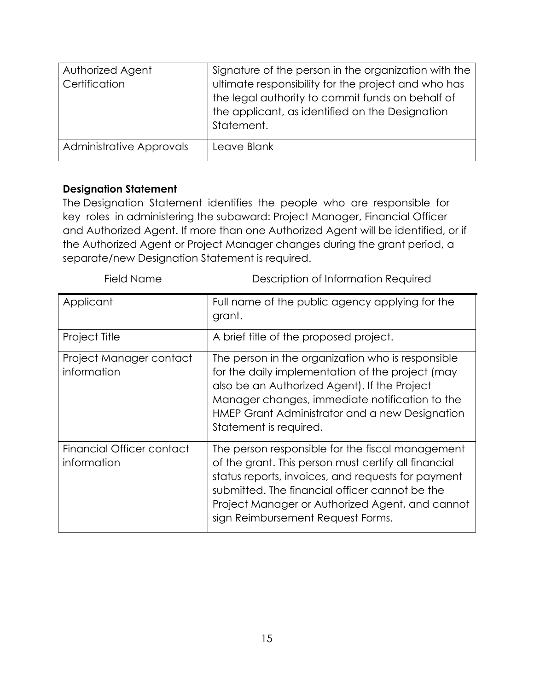| Authorized Agent<br>Certification | Signature of the person in the organization with the<br>ultimate responsibility for the project and who has<br>the legal authority to commit funds on behalf of<br>the applicant, as identified on the Designation<br>Statement. |
|-----------------------------------|----------------------------------------------------------------------------------------------------------------------------------------------------------------------------------------------------------------------------------|
| Administrative Approvals          | Leave Blank                                                                                                                                                                                                                      |

#### <span id="page-15-0"></span>**Designation Statement**

The Designation Statement identifies the people who are responsible for key roles in administering the subaward: Project Manager, Financial Officer and Authorized Agent. If more than one Authorized Agent will be identified, or if the Authorized Agent or Project Manager changes during the grant period, a separate/new Designation Statement is required.

| Field Name                               | Description of Information Required                                                                                                                                                                                                                                                                      |
|------------------------------------------|----------------------------------------------------------------------------------------------------------------------------------------------------------------------------------------------------------------------------------------------------------------------------------------------------------|
| Applicant                                | Full name of the public agency applying for the<br>grant.                                                                                                                                                                                                                                                |
| Project Title                            | A brief title of the proposed project.                                                                                                                                                                                                                                                                   |
| Project Manager contact<br>information   | The person in the organization who is responsible<br>for the daily implementation of the project (may<br>also be an Authorized Agent). If the Project<br>Manager changes, immediate notification to the<br>HMEP Grant Administrator and a new Designation<br>Statement is required.                      |
| Financial Officer contact<br>information | The person responsible for the fiscal management<br>of the grant. This person must certify all financial<br>status reports, invoices, and requests for payment<br>submitted. The financial officer cannot be the<br>Project Manager or Authorized Agent, and cannot<br>sign Reimbursement Request Forms. |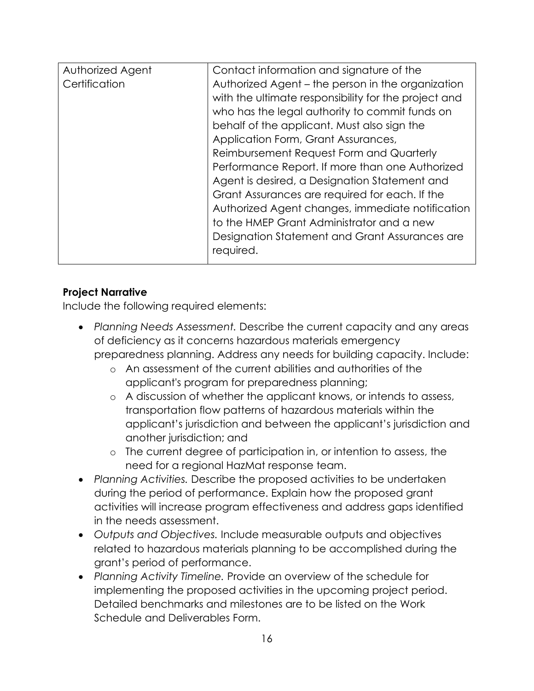| Authorized Agent | Contact information and signature of the             |
|------------------|------------------------------------------------------|
| Certification    | Authorized Agent - the person in the organization    |
|                  | with the ultimate responsibility for the project and |
|                  | who has the legal authority to commit funds on       |
|                  | behalf of the applicant. Must also sign the          |
|                  | Application Form, Grant Assurances,                  |
|                  | Reimbursement Request Form and Quarterly             |
|                  | Performance Report. If more than one Authorized      |
|                  | Agent is desired, a Designation Statement and        |
|                  | Grant Assurances are required for each. If the       |
|                  | Authorized Agent changes, immediate notification     |
|                  | to the HMEP Grant Administrator and a new            |
|                  | Designation Statement and Grant Assurances are       |
|                  | required.                                            |
|                  |                                                      |

#### <span id="page-16-0"></span>**Project Narrative**

Include the following required elements:

- *Planning Needs Assessment.* Describe the current capacity and any areas of deficiency as it concerns hazardous materials emergency preparedness planning. Address any needs for building capacity. Include:
	- o An assessment of the current abilities and authorities of the applicant's program for preparedness planning;
	- o A discussion of whether the applicant knows, or intends to assess, transportation flow patterns of hazardous materials within the applicant's jurisdiction and between the applicant's jurisdiction and another jurisdiction; and
	- o The current degree of participation in, or intention to assess, the need for a regional HazMat response team.
- *Planning Activities.* Describe the proposed activities to be undertaken during the period of performance. Explain how the proposed grant activities will increase program effectiveness and address gaps identified in the needs assessment.
- *Outputs and Objectives.* Include measurable outputs and objectives related to hazardous materials planning to be accomplished during the grant's period of performance.
- *Planning Activity Timeline.* Provide an overview of the schedule for implementing the proposed activities in the upcoming project period. Detailed benchmarks and milestones are to be listed on the Work Schedule and Deliverables Form.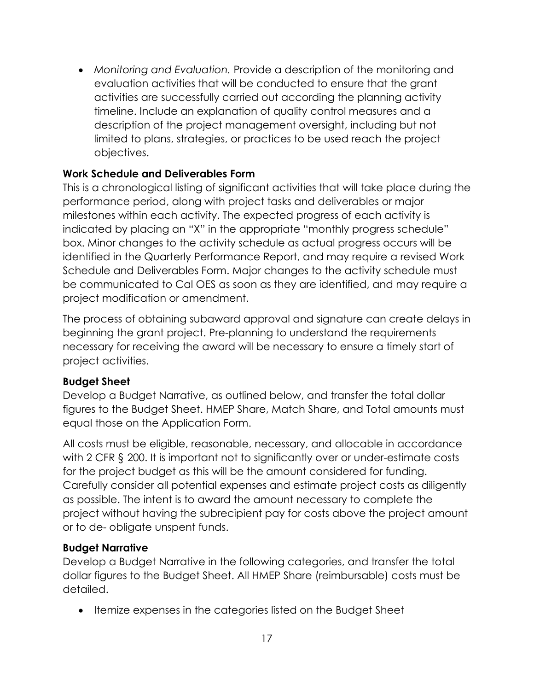• *Monitoring and Evaluation.* Provide a description of the monitoring and evaluation activities that will be conducted to ensure that the grant activities are successfully carried out according the planning activity timeline. Include an explanation of quality control measures and a description of the project management oversight, including but not limited to plans, strategies, or practices to be used reach the project objectives.

#### <span id="page-17-0"></span>**Work Schedule and Deliverables Form**

This is a chronological listing of significant activities that will take place during the performance period, along with project tasks and deliverables or major milestones within each activity. The expected progress of each activity is indicated by placing an "X" in the appropriate "monthly progress schedule" box. Minor changes to the activity schedule as actual progress occurs will be identified in the Quarterly Performance Report, and may require a revised Work Schedule and Deliverables Form. Major changes to the activity schedule must be communicated to Cal OES as soon as they are identified, and may require a project modification or amendment.

The process of obtaining subaward approval and signature can create delays in beginning the grant project. Pre-planning to understand the requirements necessary for receiving the award will be necessary to ensure a timely start of project activities.

#### <span id="page-17-1"></span>**Budget Sheet**

Develop a Budget Narrative, as outlined below, and transfer the total dollar figures to the Budget Sheet. HMEP Share, Match Share, and Total amounts must equal those on the Application Form.

All costs must be eligible, reasonable, necessary, and allocable in accordance with 2 CFR § 200. It is important not to significantly over or under-estimate costs for the project budget as this will be the amount considered for funding. Carefully consider all potential expenses and estimate project costs as diligently as possible. The intent is to award the amount necessary to complete the project without having the subrecipient pay for costs above the project amount or to de- obligate unspent funds.

#### <span id="page-17-2"></span>**Budget Narrative**

Develop a Budget Narrative in the following categories, and transfer the total dollar figures to the Budget Sheet. All HMEP Share (reimbursable) costs must be detailed.

• Itemize expenses in the categories listed on the Budget Sheet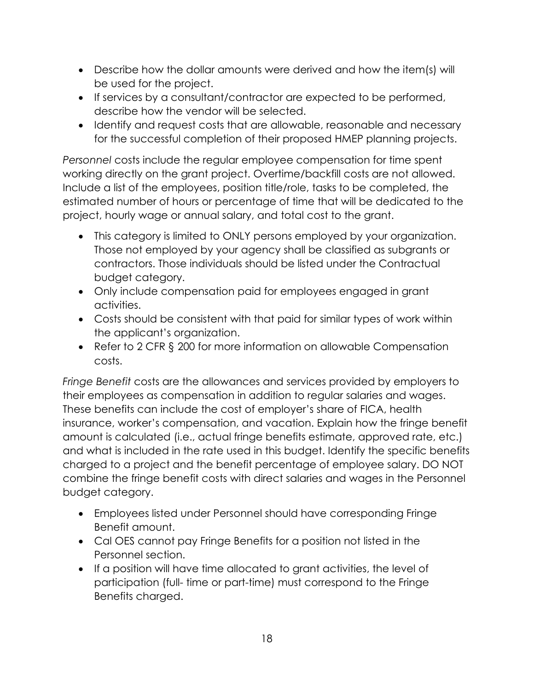- Describe how the dollar amounts were derived and how the item(s) will be used for the project.
- If services by a consultant/contractor are expected to be performed, describe how the vendor will be selected.
- Identify and request costs that are allowable, reasonable and necessary for the successful completion of their proposed HMEP planning projects.

*Personnel* costs include the regular employee compensation for time spent working directly on the grant project. Overtime/backfill costs are not allowed. Include a list of the employees, position title/role, tasks to be completed, the estimated number of hours or percentage of time that will be dedicated to the project, hourly wage or annual salary, and total cost to the grant.

- This category is limited to ONLY persons employed by your organization. Those not employed by your agency shall be classified as subgrants or contractors. Those individuals should be listed under the Contractual budget category.
- Only include compensation paid for employees engaged in grant activities.
- Costs should be consistent with that paid for similar types of work within the applicant's organization.
- Refer to 2 CFR § 200 for more information on allowable Compensation costs.

*Fringe Benefit* costs are the allowances and services provided by employers to their employees as compensation in addition to regular salaries and wages. These benefits can include the cost of employer's share of FICA, health insurance, worker's compensation, and vacation. Explain how the fringe benefit amount is calculated (i.e., actual fringe benefits estimate, approved rate, etc.) and what is included in the rate used in this budget. Identify the specific benefits charged to a project and the benefit percentage of employee salary. DO NOT combine the fringe benefit costs with direct salaries and wages in the Personnel budget category.

- Employees listed under Personnel should have corresponding Fringe Benefit amount.
- Cal OES cannot pay Fringe Benefits for a position not listed in the Personnel section.
- If a position will have time allocated to grant activities, the level of participation (full- time or part-time) must correspond to the Fringe Benefits charged.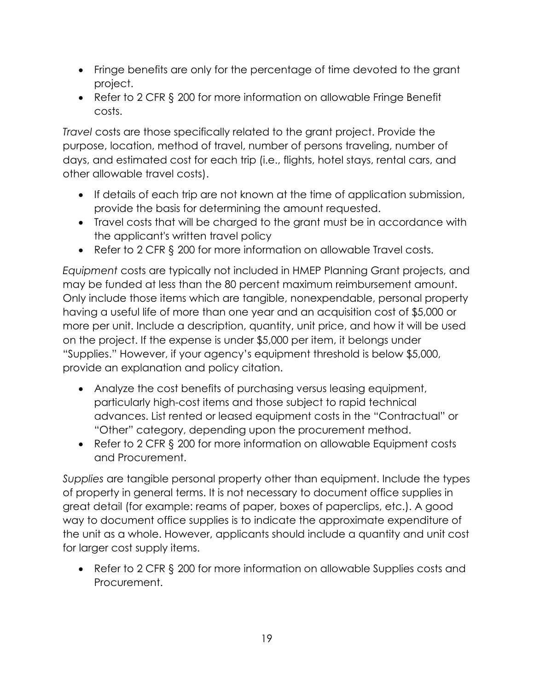- Fringe benefits are only for the percentage of time devoted to the grant project.
- Refer to 2 CFR § 200 for more information on allowable Fringe Benefit costs.

*Travel* costs are those specifically related to the grant project. Provide the purpose, location, method of travel, number of persons traveling, number of days, and estimated cost for each trip (i.e., flights, hotel stays, rental cars, and other allowable travel costs).

- If details of each trip are not known at the time of application submission, provide the basis for determining the amount requested.
- Travel costs that will be charged to the grant must be in accordance with the applicant's written travel policy
- Refer to 2 CFR § 200 for more information on allowable Travel costs.

*Equipment* costs are typically not included in HMEP Planning Grant projects, and may be funded at less than the 80 percent maximum reimbursement amount. Only include those items which are tangible, nonexpendable, personal property having a useful life of more than one year and an acquisition cost of \$5,000 or more per unit. Include a description, quantity, unit price, and how it will be used on the project. If the expense is under \$5,000 per item, it belongs under "Supplies." However, if your agency's equipment threshold is below \$5,000, provide an explanation and policy citation.

- Analyze the cost benefits of purchasing versus leasing equipment, particularly high-cost items and those subject to rapid technical advances. List rented or leased equipment costs in the "Contractual" or "Other" category, depending upon the procurement method.
- Refer to 2 CFR § 200 for more information on allowable Equipment costs and Procurement.

*Supplies* are tangible personal property other than equipment. Include the types of property in general terms. It is not necessary to document office supplies in great detail (for example: reams of paper, boxes of paperclips, etc.). A good way to document office supplies is to indicate the approximate expenditure of the unit as a whole. However, applicants should include a quantity and unit cost for larger cost supply items.

• Refer to 2 CFR § 200 for more information on allowable Supplies costs and Procurement.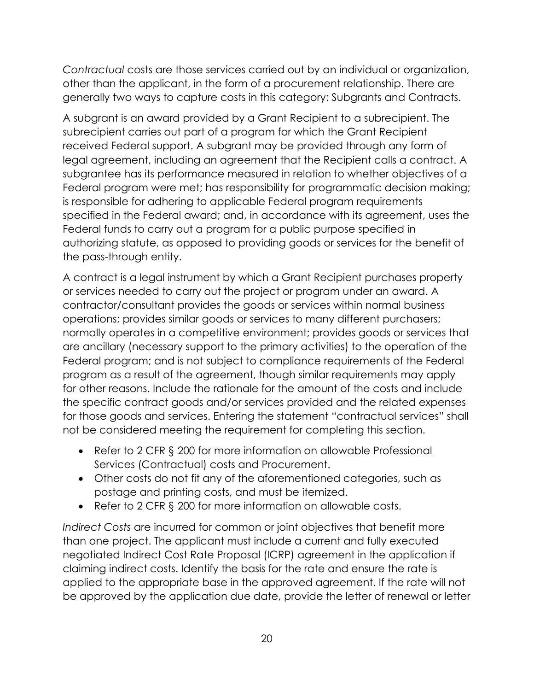*Contractual* costs are those services carried out by an individual or organization, other than the applicant, in the form of a procurement relationship. There are generally two ways to capture costs in this category: Subgrants and Contracts.

A subgrant is an award provided by a Grant Recipient to a subrecipient. The subrecipient carries out part of a program for which the Grant Recipient received Federal support. A subgrant may be provided through any form of legal agreement, including an agreement that the Recipient calls a contract. A subgrantee has its performance measured in relation to whether objectives of a Federal program were met; has responsibility for programmatic decision making; is responsible for adhering to applicable Federal program requirements specified in the Federal award; and, in accordance with its agreement, uses the Federal funds to carry out a program for a public purpose specified in authorizing statute, as opposed to providing goods or services for the benefit of the pass-through entity.

A contract is a legal instrument by which a Grant Recipient purchases property or services needed to carry out the project or program under an award. A contractor/consultant provides the goods or services within normal business operations; provides similar goods or services to many different purchasers; normally operates in a competitive environment; provides goods or services that are ancillary (necessary support to the primary activities) to the operation of the Federal program; and is not subject to compliance requirements of the Federal program as a result of the agreement, though similar requirements may apply for other reasons. Include the rationale for the amount of the costs and include the specific contract goods and/or services provided and the related expenses for those goods and services. Entering the statement "contractual services" shall not be considered meeting the requirement for completing this section.

- Refer to 2 CFR § 200 for more information on allowable Professional Services (Contractual) costs and Procurement.
- Other costs do not fit any of the aforementioned categories, such as postage and printing costs, and must be itemized.
- Refer to 2 CFR § 200 for more information on allowable costs.

*Indirect Costs* are incurred for common or joint objectives that benefit more than one project. The applicant must include a current and fully executed negotiated Indirect Cost Rate Proposal (ICRP) agreement in the application if claiming indirect costs. Identify the basis for the rate and ensure the rate is applied to the appropriate base in the approved agreement. If the rate will not be approved by the application due date, provide the letter of renewal or letter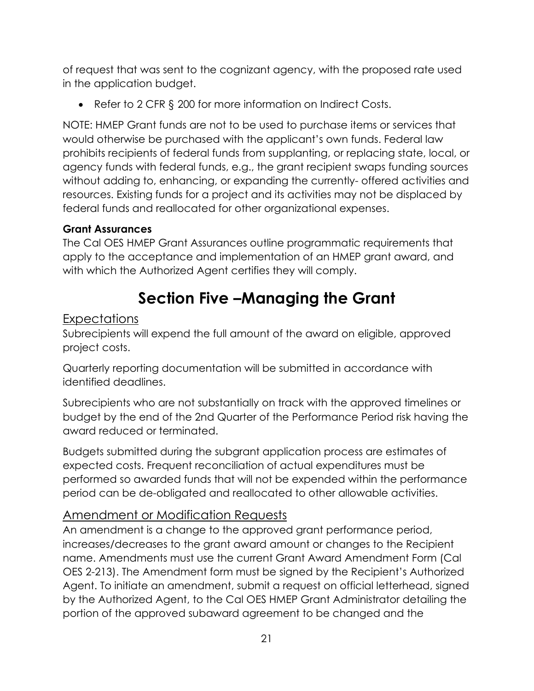of request that was sent to the cognizant agency, with the proposed rate used in the application budget.

• Refer to 2 CFR § 200 for more information on Indirect Costs.

NOTE: HMEP Grant funds are not to be used to purchase items or services that would otherwise be purchased with the applicant's own funds. Federal law prohibits recipients of federal funds from supplanting, or replacing state, local, or agency funds with federal funds, e.g., the grant recipient swaps funding sources without adding to, enhancing, or expanding the currently- offered activities and resources. Existing funds for a project and its activities may not be displaced by federal funds and reallocated for other organizational expenses.

#### <span id="page-21-0"></span>**Grant Assurances**

The Cal OES HMEP Grant Assurances outline programmatic requirements that apply to the acceptance and implementation of an HMEP grant award, and with which the Authorized Agent certifies they will comply.

# **Section Five –Managing the Grant**

#### <span id="page-21-2"></span><span id="page-21-1"></span>Expectations

Subrecipients will expend the full amount of the award on eligible, approved project costs.

Quarterly reporting documentation will be submitted in accordance with identified deadlines.

Subrecipients who are not substantially on track with the approved timelines or budget by the end of the 2nd Quarter of the Performance Period risk having the award reduced or terminated.

Budgets submitted during the subgrant application process are estimates of expected costs. Frequent reconciliation of actual expenditures must be performed so awarded funds that will not be expended within the performance period can be de-obligated and reallocated to other allowable activities.

# <span id="page-21-3"></span>Amendment or Modification Requests

An amendment is a change to the approved grant performance period, increases/decreases to the grant award amount or changes to the Recipient name. Amendments must use the current Grant Award Amendment Form (Cal OES 2-213). The Amendment form must be signed by the Recipient's Authorized Agent. To initiate an amendment, submit a request on official letterhead, signed by the Authorized Agent, to the Cal OES HMEP Grant Administrator detailing the portion of the approved subaward agreement to be changed and the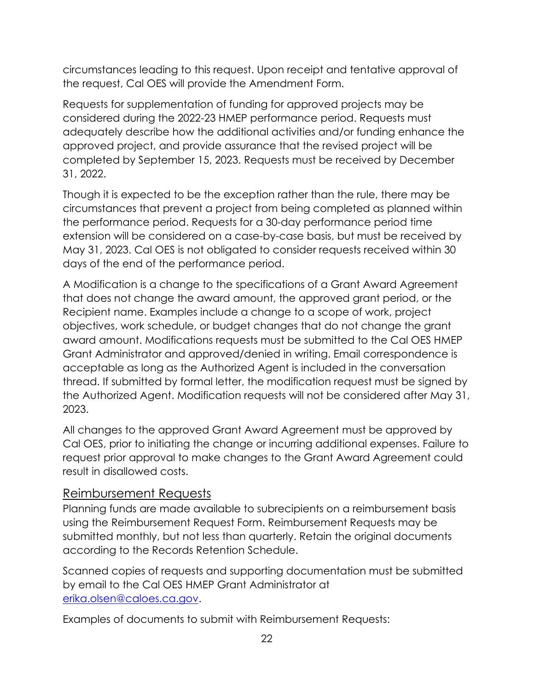circumstances leading to this request. Upon receipt and tentative approval of the request, Cal OES will provide the Amendment Form.

Requests for supplementation of funding for approved projects may be considered during the 2022-23 HMEP performance period. Requests must adequately describe how the additional activities and/or funding enhance the approved project, and provide assurance that the revised project will be completed by September 15, 2023. Requests must be received by December 31, 2022.

Though it is expected to be the exception rather than the rule, there may be circumstances that prevent a project from being completed as planned within the performance period. Requests for a 30-day performance period time extension will be considered on a case-by-case basis, but must be received by May 31, 2023. Cal OES is not obligated to consider requests received within 30 days of the end of the performance period.

A Modification is a change to the specifications of a Grant Award Agreement that does not change the award amount, the approved grant period, or the Recipient name. Examples include a change to a scope of work, project objectives, work schedule, or budget changes that do not change the grant award amount. Modifications requests must be submitted to the Cal OES HMEP Grant Administrator and approved/denied in writing. Email correspondence is acceptable as long as the Authorized Agent is included in the conversation thread. If submitted by formal letter, the modification request must be signed by the Authorized Agent. Modification requests will not be considered after May 31, 2023.

All changes to the approved Grant Award Agreement must be approved by Cal OES, prior to initiating the change or incurring additional expenses. Failure to request prior approval to make changes to the Grant Award Agreement could result in disallowed costs.

#### <span id="page-22-0"></span>Reimbursement Requests

Planning funds are made available to subrecipients on a reimbursement basis using the Reimbursement Request Form. Reimbursement Requests may be submitted monthly, but not less than quarterly. Retain the original documents according to the Records Retention Schedule.

Scanned copies of requests and supporting documentation must be submitted by email to the Cal OES HMEP Grant Administrator at [erika.olsen@caloes.ca.gov.](mailto:erika.olsen@caloes.ca.gov)

Examples of documents to submit with Reimbursement Requests: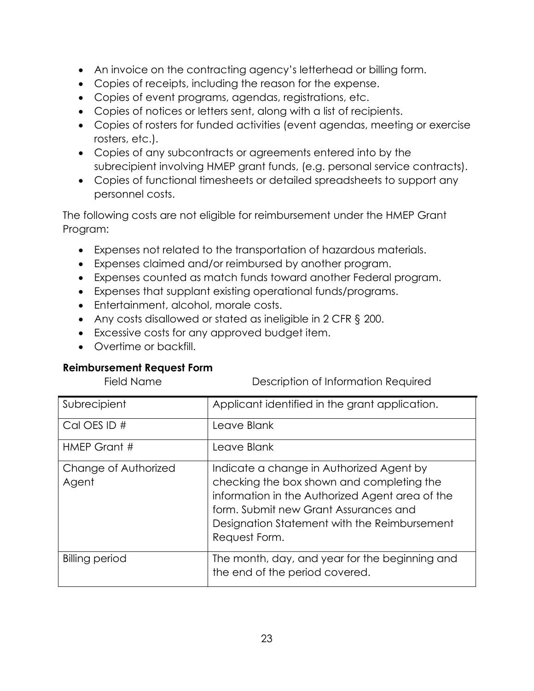- An invoice on the contracting agency's letterhead or billing form.
- Copies of receipts, including the reason for the expense.
- Copies of event programs, agendas, registrations, etc.
- Copies of notices or letters sent, along with a list of recipients.
- Copies of rosters for funded activities (event agendas, meeting or exercise rosters, etc.).
- Copies of any subcontracts or agreements entered into by the subrecipient involving HMEP grant funds, (e.g. personal service contracts).
- Copies of functional timesheets or detailed spreadsheets to support any personnel costs.

The following costs are not eligible for reimbursement under the HMEP Grant Program:

- Expenses not related to the transportation of hazardous materials.
- Expenses claimed and/or reimbursed by another program.
- Expenses counted as match funds toward another Federal program.
- Expenses that supplant existing operational funds/programs.
- Entertainment, alcohol, morale costs.
- Any costs disallowed or stated as ineligible in 2 CFR § 200.
- Excessive costs for any approved budget item.
- Overtime or backfill.

#### <span id="page-23-0"></span>**Reimbursement Request Form**

Field Name Description of Information Required

| Subrecipient                  | Applicant identified in the grant application.                                                                                                                                                                                                     |
|-------------------------------|----------------------------------------------------------------------------------------------------------------------------------------------------------------------------------------------------------------------------------------------------|
| Cal OES ID #                  | Leave Blank                                                                                                                                                                                                                                        |
| HMEP Grant #                  | Leave Blank                                                                                                                                                                                                                                        |
| Change of Authorized<br>Agent | Indicate a change in Authorized Agent by<br>checking the box shown and completing the<br>information in the Authorized Agent area of the<br>form. Submit new Grant Assurances and<br>Designation Statement with the Reimbursement<br>Request Form. |
| <b>Billing period</b>         | The month, day, and year for the beginning and<br>the end of the period covered.                                                                                                                                                                   |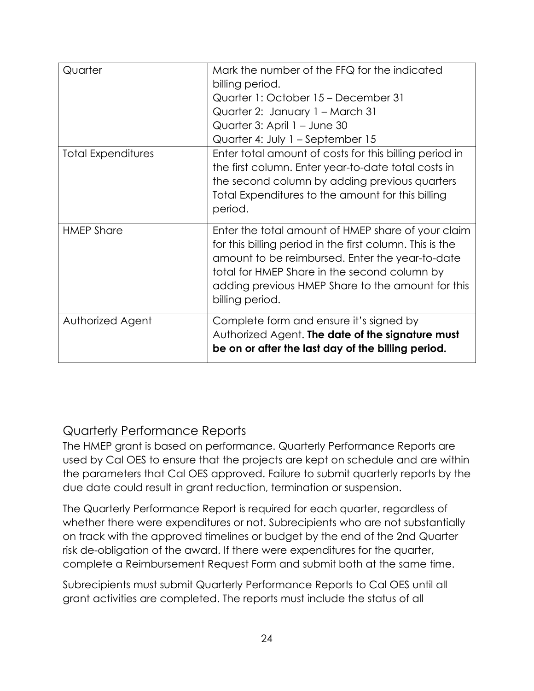| Quarter                   | Mark the number of the FFQ for the indicated<br>billing period.<br>Quarter 1: October 15 – December 31<br>Quarter 2: January 1 - March 31<br>Quarter 3: April 1 - June 30<br>Quarter 4: July 1 - September 15                                                                             |
|---------------------------|-------------------------------------------------------------------------------------------------------------------------------------------------------------------------------------------------------------------------------------------------------------------------------------------|
| <b>Total Expenditures</b> | Enter total amount of costs for this billing period in<br>the first column. Enter year-to-date total costs in<br>the second column by adding previous quarters<br>Total Expenditures to the amount for this billing<br>period.                                                            |
| <b>HMEP Share</b>         | Enter the total amount of HMEP share of your claim<br>for this billing period in the first column. This is the<br>amount to be reimbursed. Enter the year-to-date<br>total for HMEP Share in the second column by<br>adding previous HMEP Share to the amount for this<br>billing period. |
| Authorized Agent          | Complete form and ensure it's signed by<br>Authorized Agent. The date of the signature must<br>be on or after the last day of the billing period.                                                                                                                                         |

# <span id="page-24-0"></span>Quarterly Performance Reports

The HMEP grant is based on performance. Quarterly Performance Reports are used by Cal OES to ensure that the projects are kept on schedule and are within the parameters that Cal OES approved. Failure to submit quarterly reports by the due date could result in grant reduction, termination or suspension.

The Quarterly Performance Report is required for each quarter, regardless of whether there were expenditures or not. Subrecipients who are not substantially on track with the approved timelines or budget by the end of the 2nd Quarter risk de-obligation of the award. If there were expenditures for the quarter, complete a Reimbursement Request Form and submit both at the same time.

Subrecipients must submit Quarterly Performance Reports to Cal OES until all grant activities are completed. The reports must include the status of all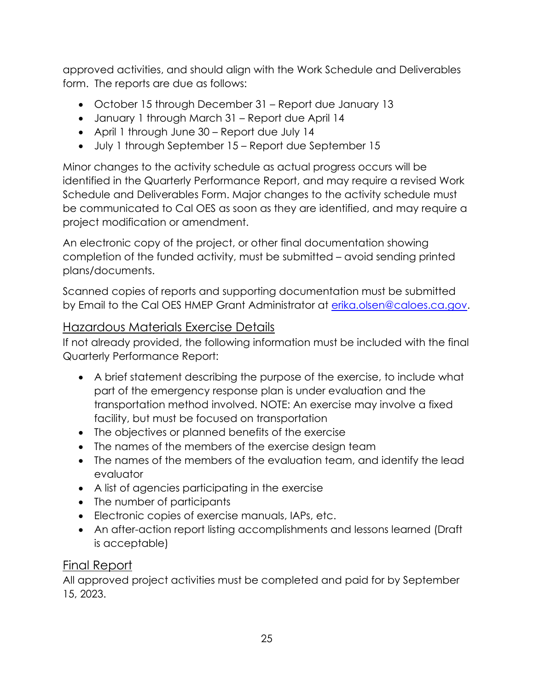approved activities, and should align with the Work Schedule and Deliverables form. The reports are due as follows:

- October 15 through December 31 Report due January 13
- January 1 through March 31 Report due April 14
- April 1 through June 30 Report due July 14
- July 1 through September 15 Report due September 15

Minor changes to the activity schedule as actual progress occurs will be identified in the Quarterly Performance Report, and may require a revised Work Schedule and Deliverables Form. Major changes to the activity schedule must be communicated to Cal OES as soon as they are identified, and may require a project modification or amendment.

An electronic copy of the project, or other final documentation showing completion of the funded activity, must be submitted – avoid sending printed plans/documents.

Scanned copies of reports and supporting documentation must be submitted by Email to the Cal OES HMEP Grant Administrator at [erika.olsen@caloes.ca.gov.](mailto:erika.olsen@caloes.ca.gov)

## <span id="page-25-0"></span>Hazardous Materials Exercise Details

If not already provided, the following information must be included with the final Quarterly Performance Report:

- A brief statement describing the purpose of the exercise, to include what part of the emergency response plan is under evaluation and the transportation method involved. NOTE: An exercise may involve a fixed facility, but must be focused on transportation
- The objectives or planned benefits of the exercise
- The names of the members of the exercise design team
- The names of the members of the evaluation team, and identify the lead evaluator
- A list of agencies participating in the exercise
- The number of participants
- Electronic copies of exercise manuals, IAPs, etc.
- An after-action report listing accomplishments and lessons learned (Draft is acceptable)

# <span id="page-25-1"></span>Final Report

All approved project activities must be completed and paid for by September 15, 2023.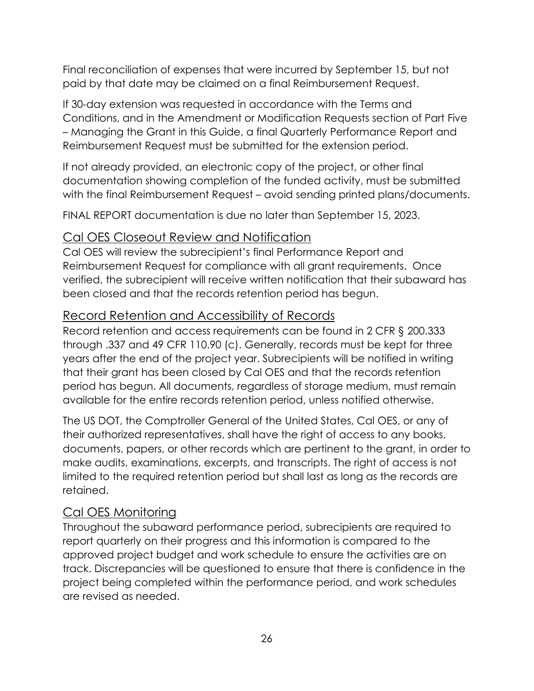Final reconciliation of expenses that were incurred by September 15, but not paid by that date may be claimed on a final Reimbursement Request.

If 30-day extension was requested in accordance with the Terms and Conditions, and in the Amendment or Modification Requests section of Part Five – Managing the Grant in this Guide, a final Quarterly Performance Report and Reimbursement Request must be submitted for the extension period.

If not already provided, an electronic copy of the project, or other final documentation showing completion of the funded activity, must be submitted with the final Reimbursement Request – avoid sending printed plans/documents.

FINAL REPORT documentation is due no later than September 15, 2023.

## <span id="page-26-0"></span>Cal OES Closeout Review and Notification

Cal OES will review the subrecipient's final Performance Report and Reimbursement Request for compliance with all grant requirements. Once verified, the subrecipient will receive written notification that their subaward has been closed and that the records retention period has begun.

## <span id="page-26-1"></span>Record Retention and Accessibility of Records

Record retention and access requirements can be found in 2 CFR § 200.333 through .337 and 49 CFR 110.90 (c). Generally, records must be kept for three years after the end of the project year. Subrecipients will be notified in writing that their grant has been closed by Cal OES and that the records retention period has begun. All documents, regardless of storage medium, must remain available for the entire records retention period, unless notified otherwise.

The US DOT, the Comptroller General of the United States, Cal OES, or any of their authorized representatives, shall have the right of access to any books, documents, papers, or other records which are pertinent to the grant, in order to make audits, examinations, excerpts, and transcripts. The right of access is not limited to the required retention period but shall last as long as the records are retained.

# <span id="page-26-2"></span>Cal OES Monitoring

Throughout the subaward performance period, subrecipients are required to report quarterly on their progress and this information is compared to the approved project budget and work schedule to ensure the activities are on track. Discrepancies will be questioned to ensure that there is confidence in the project being completed within the performance period, and work schedules are revised as needed.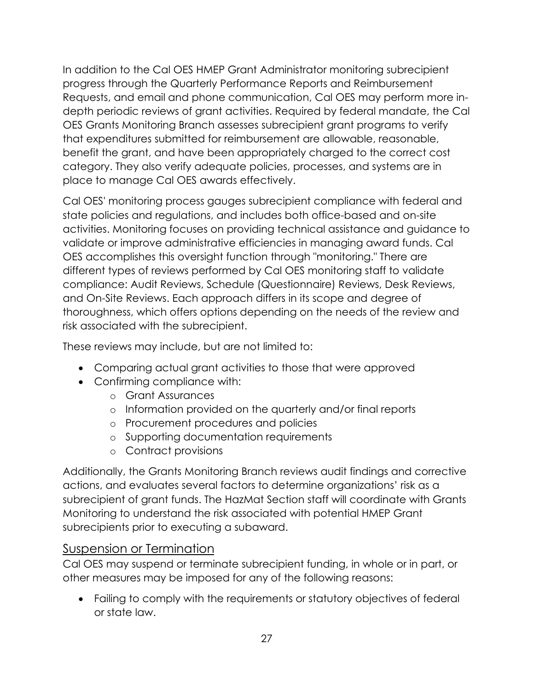In addition to the Cal OES HMEP Grant Administrator monitoring subrecipient progress through the Quarterly Performance Reports and Reimbursement Requests, and email and phone communication, Cal OES may perform more indepth periodic reviews of grant activities. Required by federal mandate, the Cal OES Grants Monitoring Branch assesses subrecipient grant programs to verify that expenditures submitted for reimbursement are allowable, reasonable, benefit the grant, and have been appropriately charged to the correct cost category. They also verify adequate policies, processes, and systems are in place to manage Cal OES awards effectively.

Cal OES' monitoring process gauges subrecipient compliance with federal and state policies and regulations, and includes both office-based and on-site activities. Monitoring focuses on providing technical assistance and guidance to validate or improve administrative efficiencies in managing award funds. Cal OES accomplishes this oversight function through "monitoring." There are different types of reviews performed by Cal OES monitoring staff to validate compliance: Audit Reviews, Schedule (Questionnaire) Reviews, Desk Reviews, and On-Site Reviews. Each approach differs in its scope and degree of thoroughness, which offers options depending on the needs of the review and risk associated with the subrecipient.

These reviews may include, but are not limited to:

- Comparing actual grant activities to those that were approved
- Confirming compliance with:
	- o Grant Assurances
	- o Information provided on the quarterly and/or final reports
	- o Procurement procedures and policies
	- o Supporting documentation requirements
	- o Contract provisions

Additionally, the Grants Monitoring Branch reviews audit findings and corrective actions, and evaluates several factors to determine organizations' risk as a subrecipient of grant funds. The HazMat Section staff will coordinate with Grants Monitoring to understand the risk associated with potential HMEP Grant subrecipients prior to executing a subaward.

#### <span id="page-27-0"></span>Suspension or Termination

Cal OES may suspend or terminate subrecipient funding, in whole or in part, or other measures may be imposed for any of the following reasons:

• Failing to comply with the requirements or statutory objectives of federal or state law.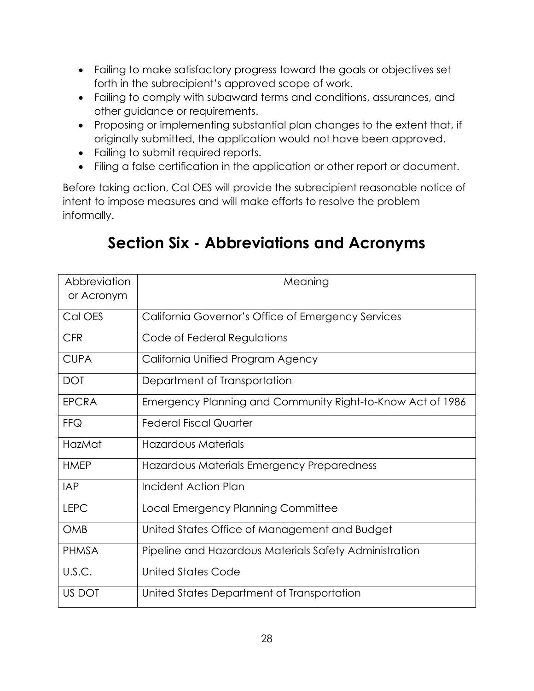- Failing to make satisfactory progress toward the goals or objectives set forth in the subrecipient's approved scope of work.
- Failing to comply with subaward terms and conditions, assurances, and other guidance or requirements.
- Proposing or implementing substantial plan changes to the extent that, if originally submitted, the application would not have been approved.
- Failing to submit required reports.
- Filing a false certification in the application or other report or document.

Before taking action, Cal OES will provide the subrecipient reasonable notice of intent to impose measures and will make efforts to resolve the problem informally.

<span id="page-28-0"></span>

| Abbreviation<br>or Acronym | Meaning                                                    |
|----------------------------|------------------------------------------------------------|
| Cal OES                    | California Governor's Office of Emergency Services         |
| <b>CFR</b>                 | Code of Federal Regulations                                |
| <b>CUPA</b>                | California Unified Program Agency                          |
| <b>DOT</b>                 | Department of Transportation                               |
| <b>EPCRA</b>               | Emergency Planning and Community Right-to-Know Act of 1986 |
| <b>FFQ</b>                 | <b>Federal Fiscal Quarter</b>                              |
| HazMat                     | <b>Hazardous Materials</b>                                 |
| <b>HMEP</b>                | Hazardous Materials Emergency Preparedness                 |
| <b>IAP</b>                 | Incident Action Plan                                       |
| <b>LEPC</b>                | Local Emergency Planning Committee                         |
| <b>OMB</b>                 | United States Office of Management and Budget              |
| <b>PHMSA</b>               | Pipeline and Hazardous Materials Safety Administration     |
| U.S.C.                     | <b>United States Code</b>                                  |
| US DOT                     | United States Department of Transportation                 |

# **Section Six - Abbreviations and Acronyms**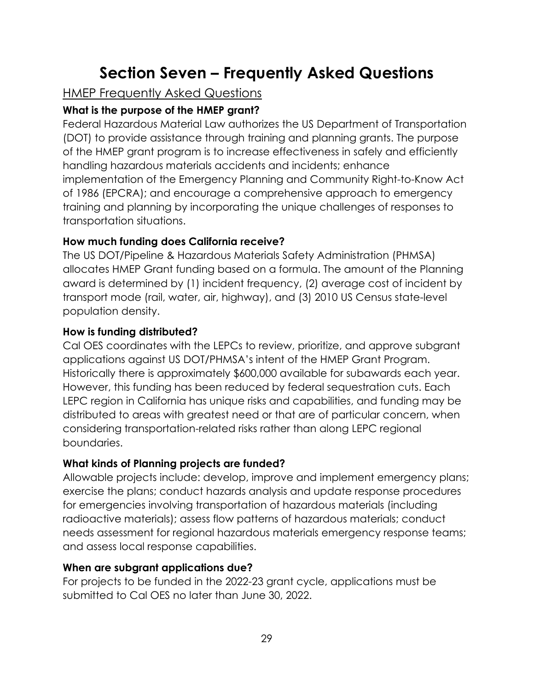# **Section Seven – Frequently Asked Questions**

# <span id="page-29-1"></span><span id="page-29-0"></span>**HMEP Frequently Asked Questions**

## <span id="page-29-2"></span>**What is the purpose of the HMEP grant?**

Federal Hazardous Material Law authorizes the US Department of Transportation (DOT) to provide assistance through training and planning grants. The purpose of the HMEP grant program is to increase effectiveness in safely and efficiently handling hazardous materials accidents and incidents; enhance implementation of the Emergency Planning and Community Right-to-Know Act of 1986 (EPCRA); and encourage a comprehensive approach to emergency training and planning by incorporating the unique challenges of responses to transportation situations.

#### <span id="page-29-3"></span>**How much funding does California receive?**

The US DOT/Pipeline & Hazardous Materials Safety Administration (PHMSA) allocates HMEP Grant funding based on a formula. The amount of the Planning award is determined by (1) incident frequency, (2) average cost of incident by transport mode (rail, water, air, highway), and (3) 2010 US Census state-level population density.

#### <span id="page-29-4"></span>**How is funding distributed?**

Cal OES coordinates with the LEPCs to review, prioritize, and approve subgrant applications against US DOT/PHMSA's intent of the HMEP Grant Program. Historically there is approximately \$600,000 available for subawards each year. However, this funding has been reduced by federal sequestration cuts. Each LEPC region in California has unique risks and capabilities, and funding may be distributed to areas with greatest need or that are of particular concern, when considering transportation-related risks rather than along LEPC regional boundaries.

#### <span id="page-29-5"></span>**What kinds of Planning projects are funded?**

Allowable projects include: develop, improve and implement emergency plans; exercise the plans; conduct hazards analysis and update response procedures for emergencies involving transportation of hazardous materials (including radioactive materials); assess flow patterns of hazardous materials; conduct needs assessment for regional hazardous materials emergency response teams; and assess local response capabilities.

#### <span id="page-29-6"></span>**When are subgrant applications due?**

For projects to be funded in the 2022-23 grant cycle, applications must be submitted to Cal OES no later than June 30, 2022.